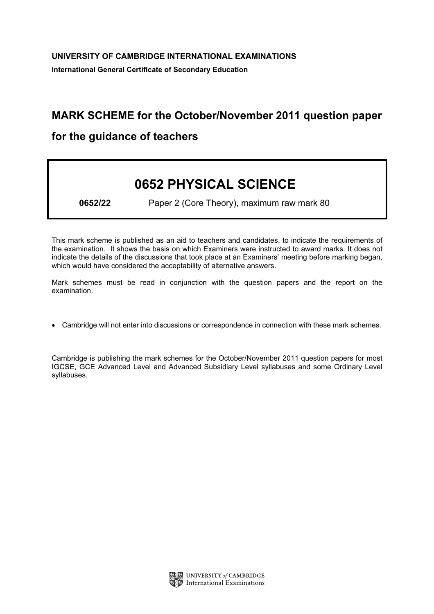## MARK SCHEME for the October/November 2011 question paper

## for the guidance of teachers

## 0652 PHYSICAL SCIENCE

0652/22 Paper 2 (Core Theory), maximum raw mark 80

This mark scheme is published as an aid to teachers and candidates, to indicate the requirements of the examination. It shows the basis on which Examiners were instructed to award marks. It does not indicate the details of the discussions that took place at an Examiners' meeting before marking began, which would have considered the acceptability of alternative answers.

Mark schemes must be read in conjunction with the question papers and the report on the examination.

*•* Cambridge will not enter into discussions or correspondence in connection with these mark schemes.

Cambridge is publishing the mark schemes for the October/November 2011 question papers for most IGCSE, GCE Advanced Level and Advanced Subsidiary Level syllabuses and some Ordinary Level syllabuses.

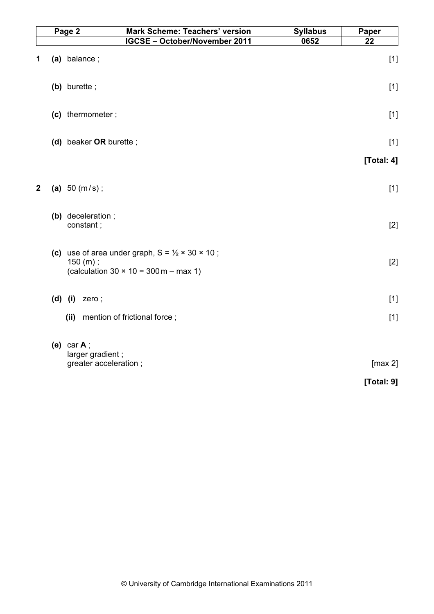| Page 2       |                                | <b>Mark Scheme: Teachers' version</b>                                | <b>Syllabus</b> | Paper      |
|--------------|--------------------------------|----------------------------------------------------------------------|-----------------|------------|
|              |                                | <b>IGCSE - October/November 2011</b>                                 | 0652            | 22         |
| 1            | (a) balance;                   |                                                                      |                 | $[1]$      |
|              | (b) burette;                   |                                                                      |                 | $[1]$      |
|              | (c) thermometer;               |                                                                      |                 | $[1]$      |
|              |                                | (d) beaker OR burette;                                               |                 | $[1]$      |
|              |                                |                                                                      |                 | [Total: 4] |
|              |                                |                                                                      |                 |            |
| $\mathbf{2}$ | (a) $50 (m/s)$ ;               |                                                                      |                 | $[1]$      |
|              |                                |                                                                      |                 |            |
|              | (b) deceleration;<br>constant; |                                                                      |                 | $[2]$      |
|              |                                |                                                                      |                 |            |
|              |                                | (c) use of area under graph, $S = \frac{1}{2} \times 30 \times 10$ ; |                 |            |
|              | 150 (m);                       |                                                                      |                 | $[2]$      |
|              |                                | (calculation $30 \times 10 = 300$ m – max 1)                         |                 |            |
|              | $(d)$ (i)<br>zero;             |                                                                      |                 | $[1]$      |
|              |                                |                                                                      |                 |            |
|              | (ii)                           | mention of frictional force;                                         |                 | $[1]$      |
|              | (e) car $A$ ;                  |                                                                      |                 |            |
|              |                                | larger gradient;                                                     |                 |            |
|              |                                | greater acceleration;                                                |                 | [max 2]    |
|              |                                |                                                                      |                 | [Total: 9] |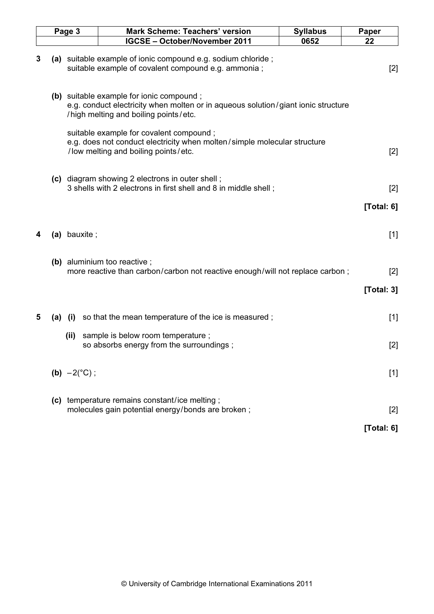|   | Page 3 |                       | <b>Mark Scheme: Teachers' version</b>                                                                                                                                  | <b>Syllabus</b> | <b>Paper</b>  |  |
|---|--------|-----------------------|------------------------------------------------------------------------------------------------------------------------------------------------------------------------|-----------------|---------------|--|
|   |        |                       | <b>IGCSE - October/November 2011</b>                                                                                                                                   | 0652            | 22            |  |
| 3 |        |                       | (a) suitable example of ionic compound e.g. sodium chloride;<br>suitable example of covalent compound e.g. ammonia;                                                    |                 | $[2]$         |  |
|   |        |                       | (b) suitable example for ionic compound;<br>e.g. conduct electricity when molten or in aqueous solution/giant ionic structure<br>/high melting and boiling points/etc. |                 |               |  |
|   |        |                       | suitable example for covalent compound ;<br>e.g. does not conduct electricity when molten/simple molecular structure<br>/low melting and boiling points/etc.           |                 | $[2]$         |  |
|   |        |                       | (c) diagram showing 2 electrons in outer shell;<br>3 shells with 2 electrons in first shell and 8 in middle shell;                                                     |                 | [2]           |  |
|   |        |                       |                                                                                                                                                                        |                 | [Total: 6]    |  |
| 4 |        | (a) bauxite;          |                                                                                                                                                                        |                 | $[1]$         |  |
|   |        |                       | (b) aluminium too reactive;<br>more reactive than carbon/carbon not reactive enough/will not replace carbon;                                                           |                 | [2]           |  |
|   |        |                       |                                                                                                                                                                        |                 | [Total: 3]    |  |
| 5 |        | $(a)$ $(i)$           | so that the mean temperature of the ice is measured;                                                                                                                   |                 | $[1]$         |  |
|   |        | (ii)                  | sample is below room temperature;<br>so absorbs energy from the surroundings;                                                                                          |                 | [2]           |  |
|   |        | (b) $-2(^{\circ}C)$ ; |                                                                                                                                                                        |                 | $[1]$         |  |
|   |        |                       | (c) temperature remains constant/ice melting;<br>molecules gain potential energy/bonds are broken;                                                                     |                 | $[2]$         |  |
|   |        |                       |                                                                                                                                                                        |                 | [Total: $6$ ] |  |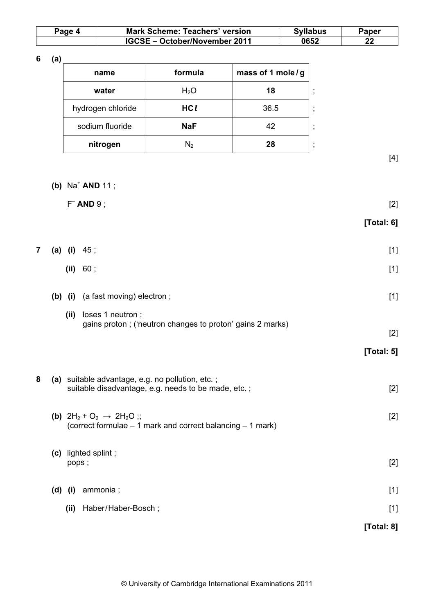| Page 4 | <b>Mark Scheme: Teachers' version</b> | <b>Syllabus</b> | Paper |  |
|--------|---------------------------------------|-----------------|-------|--|
|        | IGCSE - October/November 2011         | 0652            | ົ     |  |

6 (a)

| name              | formula          | mass of 1 mole/g |                         |
|-------------------|------------------|------------------|-------------------------|
| water             | H <sub>2</sub> O | 18               | $\cdot$<br>л.           |
| hydrogen chloride | HCI              | 36.5             | $\cdot$<br>$\mathbf{I}$ |
| sodium fluoride   | <b>NaF</b>       | 42               | $\cdot$<br>л.           |
| nitrogen          |                  | 28               | $\cdot$<br>л.           |

 $[4]$ 

| (b) $Na^+$ AND 11; |  |  |
|--------------------|--|--|
|--------------------|--|--|

 $F^-$  AND 9 ; [2]

|  | [Total: 6] |
|--|------------|
|--|------------|

| <b>7</b> (a) (i) $45$ ; |  |
|-------------------------|--|
|                         |  |

| (ii) | 60; | $[1]$ |
|------|-----|-------|
|      |     |       |

|       | (b) (i) (a fast moving) electron; |  |
|-------|-----------------------------------|--|
| 7ii). | - Insas 1 nautron :               |  |

 (ii) loses 1 neutron ; gains proton ; ('neutron changes to proton' gains 2 marks)

[2]

- [Total: 5]
- 8 (a) suitable advantage, e.g. no pollution, etc.; suitable disadvantage, e.g. needs to be made, etc. ; [2]
	- (b)  $2H_2 + O_2 \rightarrow 2H_2O$ ;; [2] (correct formulae – 1 mark and correct balancing – 1 mark)
	- (c) lighted splint ; pops ; [2] (d) (i) ammonia ;  $[1]$ 
		- (ii) Haber/Haber-Bosch ; [1]

[Total: 8]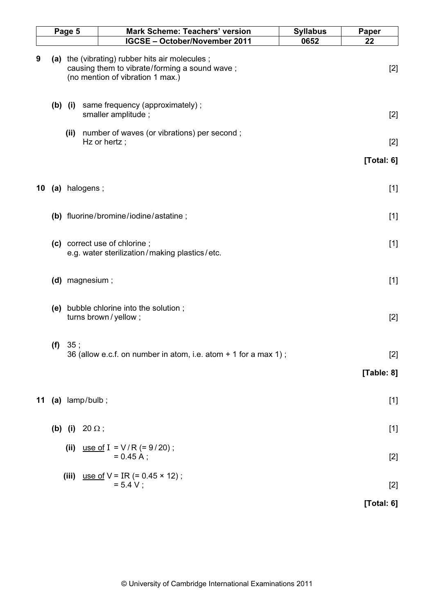|    | Page 5 |                                         |  | Mark Scheme: Teachers' version                                                                                                      | <b>Syllabus</b> | Paper      |
|----|--------|-----------------------------------------|--|-------------------------------------------------------------------------------------------------------------------------------------|-----------------|------------|
|    |        |                                         |  | <b>IGCSE - October/November 2011</b>                                                                                                | 0652            | 22         |
| 9  |        |                                         |  | (a) the (vibrating) rubber hits air molecules;<br>causing them to vibrate/forming a sound wave;<br>(no mention of vibration 1 max.) |                 | $[2]$      |
|    |        | $(b)$ (i)                               |  | same frequency (approximately);<br>smaller amplitude;                                                                               |                 | $[2]$      |
|    |        | (ii)                                    |  | number of waves (or vibrations) per second;<br>Hz or hertz;                                                                         |                 | $[2]$      |
|    |        |                                         |  |                                                                                                                                     |                 | [Total: 6] |
| 10 |        | (a) halogens;                           |  |                                                                                                                                     |                 | $[1]$      |
|    |        |                                         |  | (b) fluorine/bromine/iodine/astatine;                                                                                               |                 | $[1]$      |
|    |        |                                         |  | (c) correct use of chlorine;<br>e.g. water sterilization/making plastics/etc.                                                       |                 | $[1]$      |
|    |        | (d) magnesium;                          |  |                                                                                                                                     |                 | $[1]$      |
|    |        |                                         |  | (e) bubble chlorine into the solution;<br>turns brown / yellow;                                                                     |                 | $[2]$      |
|    |        | (f) 35;                                 |  | 36 (allow e.c.f. on number in atom, i.e. atom + 1 for a max 1);                                                                     |                 | $[2]$      |
|    |        |                                         |  |                                                                                                                                     |                 | [Table: 8] |
| 11 |        | $(a)$ lamp/bulb;                        |  |                                                                                                                                     |                 | $[1]$      |
|    |        | ( <b>b</b> ) ( <b>i</b> ) 20 $\Omega$ ; |  |                                                                                                                                     |                 | $[1]$      |
|    |        | (ii)                                    |  | use of I = $V/R$ (= 9/20);<br>$= 0.45 A$ ;                                                                                          |                 | $[2]$      |
|    |        |                                         |  | (iii) use of $V = IR$ (= 0.45 $\times$ 12);<br>$= 5.4 V$ ;                                                                          |                 | $[2]$      |
|    |        |                                         |  |                                                                                                                                     |                 | [Total: 6] |